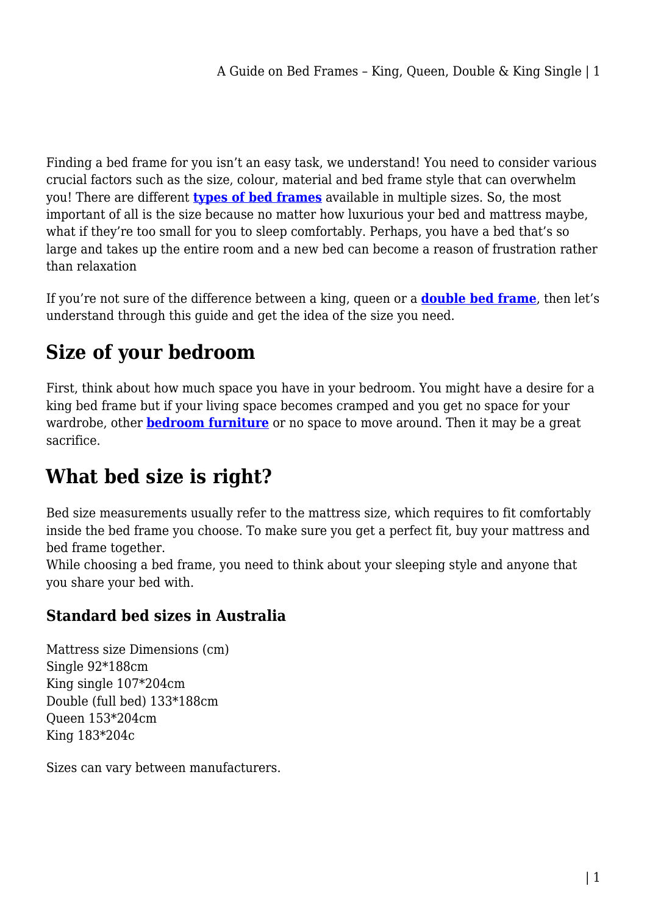Finding a bed frame for you isn't an easy task, we understand! You need to consider various crucial factors such as the size, colour, material and bed frame style that can overwhelm you! There are different **[types of bed frames](https://shopystore.com.au/furniture/beds/bed-frames/)** available in multiple sizes. So, the most important of all is the size because no matter how luxurious your bed and mattress maybe, what if they're too small for you to sleep comfortably. Perhaps, you have a bed that's so large and takes up the entire room and a new bed can become a reason of frustration rather than relaxation

If you're not sure of the difference between a king, queen or a **[double bed frame](https://shopystore.com.au/furniture/beds/bed-frames/double-bed-frames/)**, then let's understand through this guide and get the idea of the size you need.

## **Size of your bedroom**

First, think about how much space you have in your bedroom. You might have a desire for a king bed frame but if your living space becomes cramped and you get no space for your wardrobe, other **[bedroom furniture](https://shopystore.com.au/furniture/)** or no space to move around. Then it may be a great sacrifice.

## **What bed size is right?**

Bed size measurements usually refer to the mattress size, which requires to fit comfortably inside the bed frame you choose. To make sure you get a perfect fit, buy your mattress and bed frame together.

While choosing a bed frame, you need to think about your sleeping style and anyone that you share your bed with.

#### **Standard bed sizes in Australia**

Mattress size Dimensions (cm) Single 92\*188cm King single 107\*204cm Double (full bed) 133\*188cm Queen 153\*204cm King 183\*204c

Sizes can vary between manufacturers.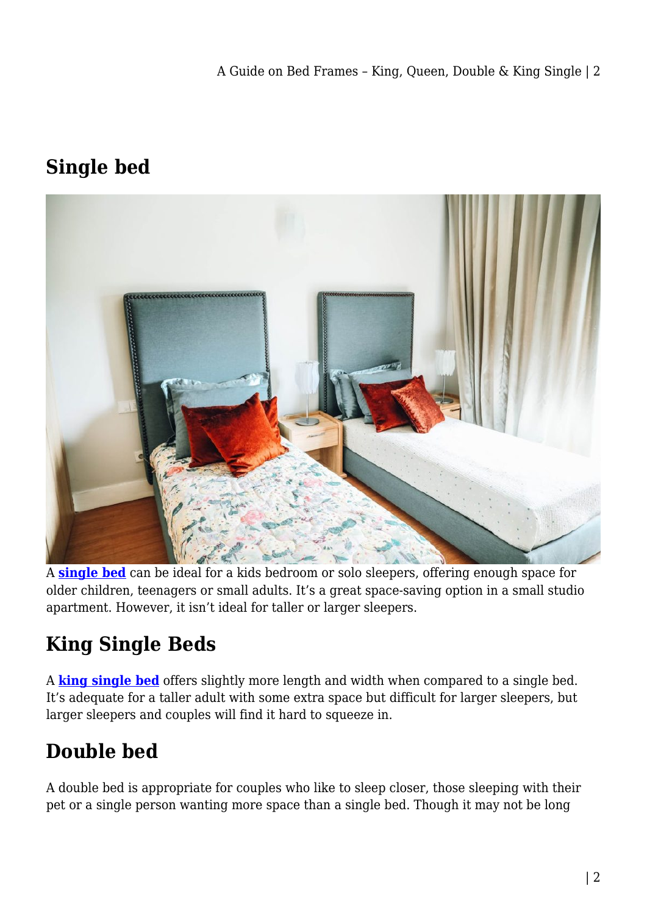### **Single bed**



A **[single bed](https://shopystore.com.au/furniture/beds/bed-frames/single-bed-frames/)** can be ideal for a kids bedroom or solo sleepers, offering enough space for older children, teenagers or small adults. It's a great space-saving option in a small studio apartment. However, it isn't ideal for taller or larger sleepers.

# **King Single Beds**

A **[king single bed](https://shopystore.com.au/furniture/beds/bed-frames/king-single-bed-frames/)** offers slightly more length and width when compared to a single bed. It's adequate for a taller adult with some extra space but difficult for larger sleepers, but larger sleepers and couples will find it hard to squeeze in.

# **Double bed**

A double bed is appropriate for couples who like to sleep closer, those sleeping with their pet or a single person wanting more space than a single bed. Though it may not be long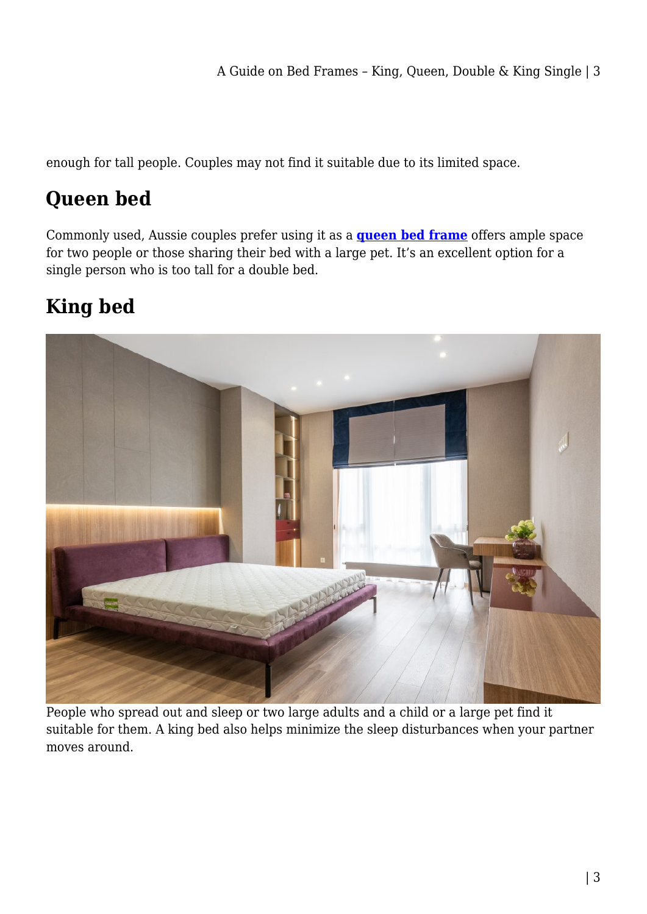enough for tall people. Couples may not find it suitable due to its limited space.

# **Queen bed**

Commonly used, Aussie couples prefer using it as a **[queen bed frame](https://shopystore.com.au/furniture/beds/bed-frames/queen-bed-frames/)** offers ample space for two people or those sharing their bed with a large pet. It's an excellent option for a single person who is too tall for a double bed.

# **King bed**



People who spread out and sleep or two large adults and a child or a large pet find it suitable for them. A king bed also helps minimize the sleep disturbances when your partner moves around.